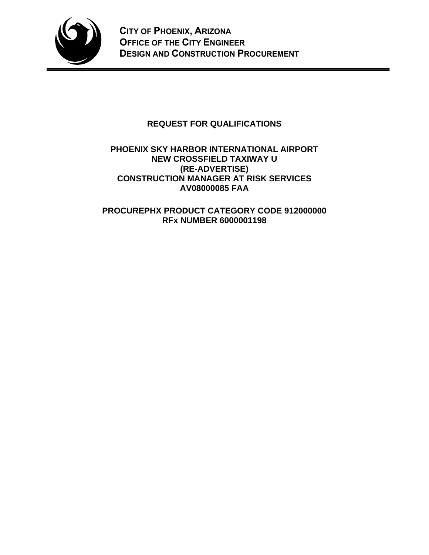

# **REQUEST FOR QUALIFICATIONS**

## **PHOENIX SKY HARBOR INTERNATIONAL AIRPORT NEW CROSSFIELD TAXIWAY U (RE-ADVERTISE) CONSTRUCTION MANAGER AT RISK SERVICES AV08000085 FAA**

**PROCUREPHX PRODUCT CATEGORY CODE 912000000 RFx NUMBER 6000001198**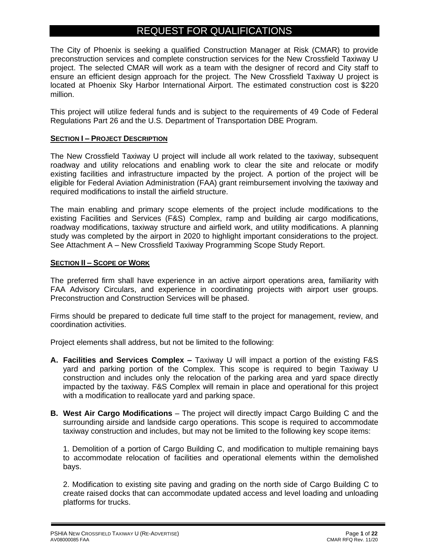# REQUEST FOR QUALIFICATIONS

The City of Phoenix is seeking a qualified Construction Manager at Risk (CMAR) to provide preconstruction services and complete construction services for the New Crossfield Taxiway U project. The selected CMAR will work as a team with the designer of record and City staff to ensure an efficient design approach for the project. The New Crossfield Taxiway U project is located at Phoenix Sky Harbor International Airport. The estimated construction cost is \$220 million.

This project will utilize federal funds and is subject to the requirements of 49 Code of Federal Regulations Part 26 and the U.S. Department of Transportation DBE Program.

## **SECTION I – PROJECT DESCRIPTION**

The New Crossfield Taxiway U project will include all work related to the taxiway, subsequent roadway and utility relocations and enabling work to clear the site and relocate or modify existing facilities and infrastructure impacted by the project. A portion of the project will be eligible for Federal Aviation Administration (FAA) grant reimbursement involving the taxiway and required modifications to install the airfield structure.

The main enabling and primary scope elements of the project include modifications to the existing Facilities and Services (F&S) Complex, ramp and building air cargo modifications, roadway modifications, taxiway structure and airfield work, and utility modifications. A planning study was completed by the airport in 2020 to highlight important considerations to the project. See Attachment A – New Crossfield Taxiway Programming Scope Study Report.

## **SECTION II – SCOPE OF WORK**

The preferred firm shall have experience in an active airport operations area, familiarity with FAA Advisory Circulars, and experience in coordinating projects with airport user groups. Preconstruction and Construction Services will be phased.

Firms should be prepared to dedicate full time staff to the project for management, review, and coordination activities.

Project elements shall address, but not be limited to the following:

- **A. Facilities and Services Complex –** Taxiway U will impact a portion of the existing F&S yard and parking portion of the Complex. This scope is required to begin Taxiway U construction and includes only the relocation of the parking area and yard space directly impacted by the taxiway. F&S Complex will remain in place and operational for this project with a modification to reallocate yard and parking space.
- **B. West Air Cargo Modifications** The project will directly impact Cargo Building C and the surrounding airside and landside cargo operations. This scope is required to accommodate taxiway construction and includes, but may not be limited to the following key scope items:

1. Demolition of a portion of Cargo Building C, and modification to multiple remaining bays to accommodate relocation of facilities and operational elements within the demolished bays.

2. Modification to existing site paving and grading on the north side of Cargo Building C to create raised docks that can accommodate updated access and level loading and unloading platforms for trucks.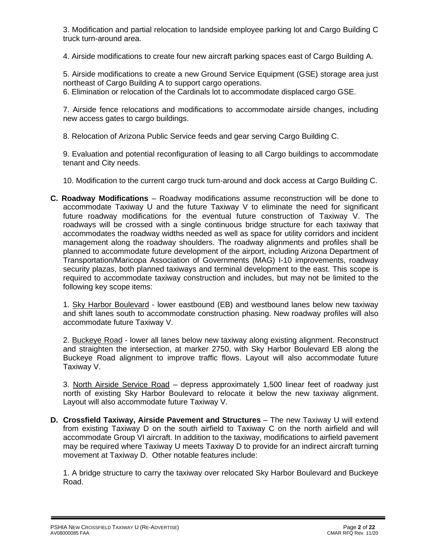3. Modification and partial relocation to landside employee parking lot and Cargo Building C truck turn-around area.

4. Airside modifications to create four new aircraft parking spaces east of Cargo Building A.

5. Airside modifications to create a new Ground Service Equipment (GSE) storage area just northeast of Cargo Building A to support cargo operations.

6. Elimination or relocation of the Cardinals lot to accommodate displaced cargo GSE.

7. Airside fence relocations and modifications to accommodate airside changes, including new access gates to cargo buildings.

8. Relocation of Arizona Public Service feeds and gear serving Cargo Building C.

9. Evaluation and potential reconfiguration of leasing to all Cargo buildings to accommodate tenant and City needs.

10. Modification to the current cargo truck turn-around and dock access at Cargo Building C.

**C. Roadway Modifications** – Roadway modifications assume reconstruction will be done to accommodate Taxiway U and the future Taxiway V to eliminate the need for significant future roadway modifications for the eventual future construction of Taxiway V. The roadways will be crossed with a single continuous bridge structure for each taxiway that accommodates the roadway widths needed as well as space for utility corridors and incident management along the roadway shoulders. The roadway alignments and profiles shall be planned to accommodate future development of the airport, including Arizona Department of Transportation/Maricopa Association of Governments (MAG) I-10 improvements, roadway security plazas, both planned taxiways and terminal development to the east. This scope is required to accommodate taxiway construction and includes, but may not be limited to the following key scope items:

1. Sky Harbor Boulevard - lower eastbound (EB) and westbound lanes below new taxiway and shift lanes south to accommodate construction phasing. New roadway profiles will also accommodate future Taxiway V.

2. Buckeye Road - lower all lanes below new taxiway along existing alignment. Reconstruct and straighten the intersection, at marker 2750, with Sky Harbor Boulevard EB along the Buckeye Road alignment to improve traffic flows. Layout will also accommodate future Taxiway V.

3. North Airside Service Road – depress approximately 1,500 linear feet of roadway just north of existing Sky Harbor Boulevard to relocate it below the new taxiway alignment. Layout will also accommodate future Taxiway V.

**D. Crossfield Taxiway, Airside Pavement and Structures** – The new Taxiway U will extend from existing Taxiway D on the south airfield to Taxiway C on the north airfield and will accommodate Group VI aircraft. In addition to the taxiway, modifications to airfield pavement may be required where Taxiway U meets Taxiway D to provide for an indirect aircraft turning movement at Taxiway D. Other notable features include:

1. A bridge structure to carry the taxiway over relocated Sky Harbor Boulevard and Buckeye Road.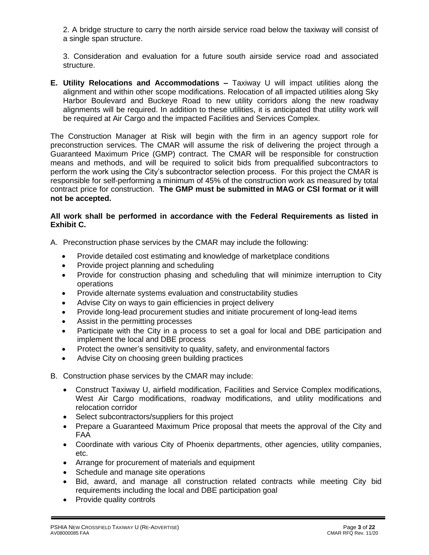2. A bridge structure to carry the north airside service road below the taxiway will consist of a single span structure.

3. Consideration and evaluation for a future south airside service road and associated structure.

**E. Utility Relocations and Accommodations –** Taxiway U will impact utilities along the alignment and within other scope modifications. Relocation of all impacted utilities along Sky Harbor Boulevard and Buckeye Road to new utility corridors along the new roadway alignments will be required. In addition to these utilities, it is anticipated that utility work will be required at Air Cargo and the impacted Facilities and Services Complex.

The Construction Manager at Risk will begin with the firm in an agency support role for preconstruction services. The CMAR will assume the risk of delivering the project through a Guaranteed Maximum Price (GMP) contract. The CMAR will be responsible for construction means and methods, and will be required to solicit bids from prequalified subcontractors to perform the work using the City's subcontractor selection process. For this project the CMAR is responsible for self-performing a minimum of 45% of the construction work as measured by total contract price for construction. **The GMP must be submitted in MAG or CSI format or it will not be accepted.**

## **All work shall be performed in accordance with the Federal Requirements as listed in Exhibit C.**

- A. Preconstruction phase services by the CMAR may include the following:
	- Provide detailed cost estimating and knowledge of marketplace conditions
	- Provide project planning and scheduling
	- Provide for construction phasing and scheduling that will minimize interruption to City operations
	- Provide alternate systems evaluation and constructability studies
	- Advise City on ways to gain efficiencies in project delivery
	- Provide long-lead procurement studies and initiate procurement of long-lead items
	- Assist in the permitting processes
	- Participate with the City in a process to set a goal for local and DBE participation and implement the local and DBE process
	- Protect the owner's sensitivity to quality, safety, and environmental factors
	- Advise City on choosing green building practices
- B. Construction phase services by the CMAR may include:
	- Construct Taxiway U, airfield modification, Facilities and Service Complex modifications, West Air Cargo modifications, roadway modifications, and utility modifications and relocation corridor
	- Select subcontractors/suppliers for this project
	- Prepare a Guaranteed Maximum Price proposal that meets the approval of the City and FAA
	- Coordinate with various City of Phoenix departments, other agencies, utility companies, etc.
	- Arrange for procurement of materials and equipment
	- Schedule and manage site operations
	- Bid, award, and manage all construction related contracts while meeting City bid requirements including the local and DBE participation goal
	- Provide quality controls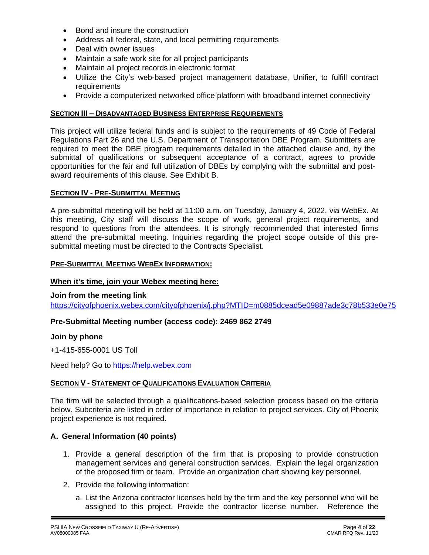- Bond and insure the construction
- Address all federal, state, and local permitting requirements
- Deal with owner issues
- Maintain a safe work site for all project participants
- Maintain all project records in electronic format
- Utilize the City's web-based project management database, Unifier, to fulfill contract requirements
- Provide a computerized networked office platform with broadband internet connectivity

### **SECTION III – DISADVANTAGED BUSINESS ENTERPRISE REQUIREMENTS**

This project will utilize federal funds and is subject to the requirements of 49 Code of Federal Regulations Part 26 and the U.S. Department of Transportation DBE Program. Submitters are required to meet the DBE program requirements detailed in the attached clause and, by the submittal of qualifications or subsequent acceptance of a contract, agrees to provide opportunities for the fair and full utilization of DBEs by complying with the submittal and postaward requirements of this clause. See Exhibit B.

### **SECTION IV - PRE-SUBMITTAL MEETING**

A pre-submittal meeting will be held at 11:00 a.m. on Tuesday, January 4, 2022, via WebEx. At this meeting, City staff will discuss the scope of work, general project requirements, and respond to questions from the attendees. It is strongly recommended that interested firms attend the pre-submittal meeting. Inquiries regarding the project scope outside of this presubmittal meeting must be directed to the Contracts Specialist.

#### **PRE-SUBMITTAL MEETING WEBEX INFORMATION:**

### **When it's time, join your Webex meeting here:**

#### **Join from the meeting link**

<https://cityofphoenix.webex.com/cityofphoenix/j.php?MTID=m0885dcead5e09887ade3c78b533e0e75>

## **Pre-Submittal Meeting number (access code): 2469 862 2749**

#### **Join by phone**

+1-415-655-0001 US Toll

Need help? Go to [https://help.webex.com](https://help.webex.com/)

#### **SECTION V - STATEMENT OF QUALIFICATIONS EVALUATION CRITERIA**

The firm will be selected through a qualifications-based selection process based on the criteria below. Subcriteria are listed in order of importance in relation to project services. City of Phoenix project experience is not required.

## **A. General Information (40 points)**

- 1. Provide a general description of the firm that is proposing to provide construction management services and general construction services. Explain the legal organization of the proposed firm or team. Provide an organization chart showing key personnel.
- 2. Provide the following information:
	- a. List the Arizona contractor licenses held by the firm and the key personnel who will be assigned to this project. Provide the contractor license number. Reference the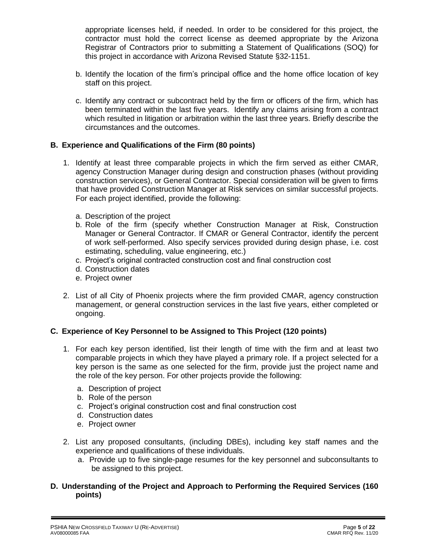appropriate licenses held, if needed. In order to be considered for this project, the contractor must hold the correct license as deemed appropriate by the Arizona Registrar of Contractors prior to submitting a Statement of Qualifications (SOQ) for this project in accordance with Arizona Revised Statute §32-1151.

- b. Identify the location of the firm's principal office and the home office location of key staff on this project.
- c. Identify any contract or subcontract held by the firm or officers of the firm, which has been terminated within the last five years. Identify any claims arising from a contract which resulted in litigation or arbitration within the last three years. Briefly describe the circumstances and the outcomes.

## **B. Experience and Qualifications of the Firm (80 points)**

- 1. Identify at least three comparable projects in which the firm served as either CMAR, agency Construction Manager during design and construction phases (without providing construction services), or General Contractor. Special consideration will be given to firms that have provided Construction Manager at Risk services on similar successful projects. For each project identified, provide the following:
	- a. Description of the project
	- b. Role of the firm (specify whether Construction Manager at Risk, Construction Manager or General Contractor. If CMAR or General Contractor, identify the percent of work self-performed. Also specify services provided during design phase, i.e. cost estimating, scheduling, value engineering, etc.)
	- c. Project's original contracted construction cost and final construction cost
	- d. Construction dates
	- e. Project owner
- 2. List of all City of Phoenix projects where the firm provided CMAR, agency construction management, or general construction services in the last five years, either completed or ongoing.

## **C. Experience of Key Personnel to be Assigned to This Project (120 points)**

- 1. For each key person identified, list their length of time with the firm and at least two comparable projects in which they have played a primary role. If a project selected for a key person is the same as one selected for the firm, provide just the project name and the role of the key person. For other projects provide the following:
	- a. Description of project
	- b. Role of the person
	- c. Project's original construction cost and final construction cost
	- d. Construction dates
	- e. Project owner
- 2. List any proposed consultants, (including DBEs), including key staff names and the experience and qualifications of these individuals.
	- a. Provide up to five single-page resumes for the key personnel and subconsultants to be assigned to this project.

## **D. Understanding of the Project and Approach to Performing the Required Services (160 points)**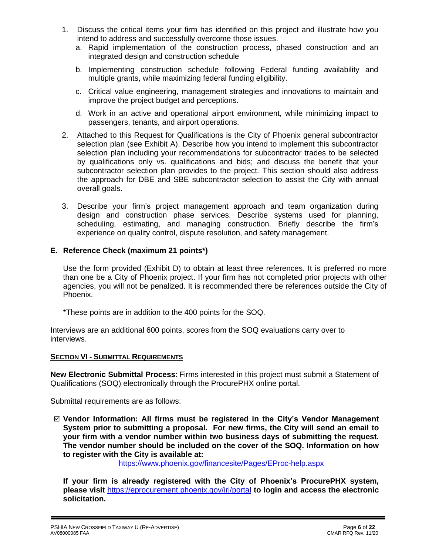- 1. Discuss the critical items your firm has identified on this project and illustrate how you intend to address and successfully overcome those issues.
	- a. Rapid implementation of the construction process, phased construction and an integrated design and construction schedule
	- b. Implementing construction schedule following Federal funding availability and multiple grants, while maximizing federal funding eligibility.
	- c. Critical value engineering, management strategies and innovations to maintain and improve the project budget and perceptions.
	- d. Work in an active and operational airport environment, while minimizing impact to passengers, tenants, and airport operations.
- 2. Attached to this Request for Qualifications is the City of Phoenix general subcontractor selection plan (see Exhibit A). Describe how you intend to implement this subcontractor selection plan including your recommendations for subcontractor trades to be selected by qualifications only vs. qualifications and bids; and discuss the benefit that your subcontractor selection plan provides to the project. This section should also address the approach for DBE and SBE subcontractor selection to assist the City with annual overall goals.
- 3. Describe your firm's project management approach and team organization during design and construction phase services. Describe systems used for planning, scheduling, estimating, and managing construction. Briefly describe the firm's experience on quality control, dispute resolution, and safety management.

## **E. Reference Check (maximum 21 points\*)**

Use the form provided (Exhibit D) to obtain at least three references. It is preferred no more than one be a City of Phoenix project. If your firm has not completed prior projects with other agencies, you will not be penalized. It is recommended there be references outside the City of Phoenix.

\*These points are in addition to the 400 points for the SOQ.

Interviews are an additional 600 points, scores from the SOQ evaluations carry over to interviews.

#### **SECTION VI - SUBMITTAL REQUIREMENTS**

**New Electronic Submittal Process**: Firms interested in this project must submit a Statement of Qualifications (SOQ) electronically through the ProcurePHX online portal.

Submittal requirements are as follows:

 **Vendor Information: All firms must be registered in the City's Vendor Management System prior to submitting a proposal. For new firms, the City will send an email to your firm with a vendor number within two business days of submitting the request. The vendor number should be included on the cover of the SOQ. Information on how to register with the City is available at:** 

<https://www.phoenix.gov/financesite/Pages/EProc-help.aspx>

**If your firm is already registered with the City of Phoenix's ProcurePHX system, please visit** <https://eprocurement.phoenix.gov/irj/portal> **to login and access the electronic solicitation.**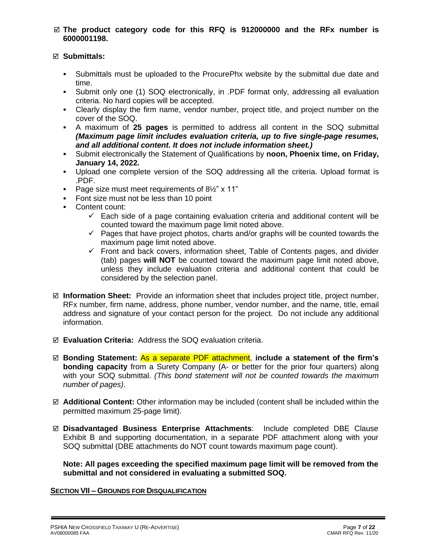### **The product category code for this RFQ is 912000000 and the RFx number is 6000001198.**

## **Submittals:**

- Submittals must be uploaded to the ProcurePhx website by the submittal due date and time.
- Submit only one (1) SOQ electronically, in .PDF format only, addressing all evaluation criteria. No hard copies will be accepted.
- Clearly display the firm name, vendor number, project title, and project number on the cover of the SOQ.
- A maximum of **25 pages** is permitted to address all content in the SOQ submittal *(Maximum page limit includes evaluation criteria, up to five single-page resumes, and all additional content. It does not include information sheet.)*
- Submit electronically the Statement of Qualifications by **noon, Phoenix time, on Friday, January 14, 2022.**
- Upload one complete version of the SOQ addressing all the criteria. Upload format is .PDF.
- Page size must meet requirements of 8½" x 11"
- Font size must not be less than 10 point
- Content count:
	- $\checkmark$  Each side of a page containing evaluation criteria and additional content will be counted toward the maximum page limit noted above.
	- $\checkmark$  Pages that have project photos, charts and/or graphs will be counted towards the maximum page limit noted above.
	- $\checkmark$  Front and back covers, information sheet, Table of Contents pages, and divider (tab) pages **will NOT** be counted toward the maximum page limit noted above, unless they include evaluation criteria and additional content that could be considered by the selection panel.
- **Information Sheet:** Provide an information sheet that includes project title, project number, RFx number, firm name, address, phone number, vendor number, and the name, title, email address and signature of your contact person for the project. Do not include any additional information.
- **Evaluation Criteria:** Address the SOQ evaluation criteria.
- **Bonding Statement:** As a separate PDF attachment, **include a statement of the firm's bonding capacity** from a Surety Company (A- or better for the prior four quarters) along with your SOQ submittal. *(This bond statement will not be counted towards the maximum number of pages)*.
- **Additional Content:** Other information may be included (content shall be included within the permitted maximum 25-page limit).
- **Disadvantaged Business Enterprise Attachments**: Include completed DBE Clause Exhibit B and supporting documentation, in a separate PDF attachment along with your SOQ submittal (DBE attachments do NOT count towards maximum page count).

**Note: All pages exceeding the specified maximum page limit will be removed from the submittal and not considered in evaluating a submitted SOQ.** 

## **SECTION VII – GROUNDS FOR DISQUALIFICATION**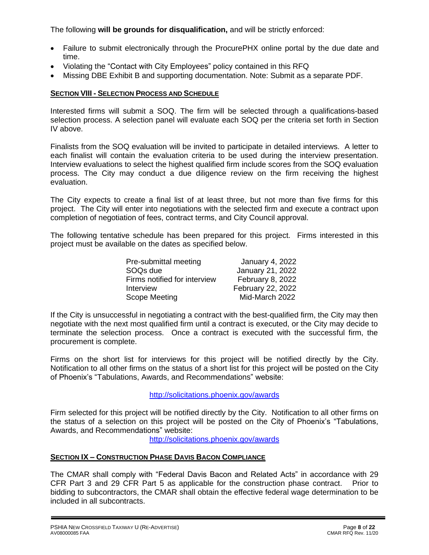The following **will be grounds for disqualification,** and will be strictly enforced:

- Failure to submit electronically through the ProcurePHX online portal by the due date and time.
- Violating the "Contact with City Employees" policy contained in this RFQ
- Missing DBE Exhibit B and supporting documentation. Note: Submit as a separate PDF.

### **SECTION VIII - SELECTION PROCESS AND SCHEDULE**

Interested firms will submit a SOQ. The firm will be selected through a qualifications-based selection process. A selection panel will evaluate each SOQ per the criteria set forth in Section IV above.

Finalists from the SOQ evaluation will be invited to participate in detailed interviews. A letter to each finalist will contain the evaluation criteria to be used during the interview presentation. Interview evaluations to select the highest qualified firm include scores from the SOQ evaluation process. The City may conduct a due diligence review on the firm receiving the highest evaluation.

The City expects to create a final list of at least three, but not more than five firms for this project. The City will enter into negotiations with the selected firm and execute a contract upon completion of negotiation of fees, contract terms, and City Council approval.

The following tentative schedule has been prepared for this project. Firms interested in this project must be available on the dates as specified below.

| Pre-submittal meeting        | <b>January 4, 2022</b> |
|------------------------------|------------------------|
| SOQ <sub>s</sub> due         | January 21, 2022       |
| Firms notified for interview | February 8, 2022       |
| Interview                    | February 22, 2022      |
| Scope Meeting                | Mid-March 2022         |

If the City is unsuccessful in negotiating a contract with the best-qualified firm, the City may then negotiate with the next most qualified firm until a contract is executed, or the City may decide to terminate the selection process. Once a contract is executed with the successful firm, the procurement is complete.

Firms on the short list for interviews for this project will be notified directly by the City. Notification to all other firms on the status of a short list for this project will be posted on the City of Phoenix's "Tabulations, Awards, and Recommendations" website:

## http://solicitations.phoenix.gov/awards

Firm selected for this project will be notified directly by the City. Notification to all other firms on the status of a selection on this project will be posted on the City of Phoenix's "Tabulations, Awards, and Recommendations" website:

<http://solicitations.phoenix.gov/awards>

## **SECTION IX – CONSTRUCTION PHASE DAVIS BACON COMPLIANCE**

The CMAR shall comply with "Federal Davis Bacon and Related Acts" in accordance with 29 CFR Part 3 and 29 CFR Part 5 as applicable for the construction phase contract. Prior to bidding to subcontractors, the CMAR shall obtain the effective federal wage determination to be included in all subcontracts.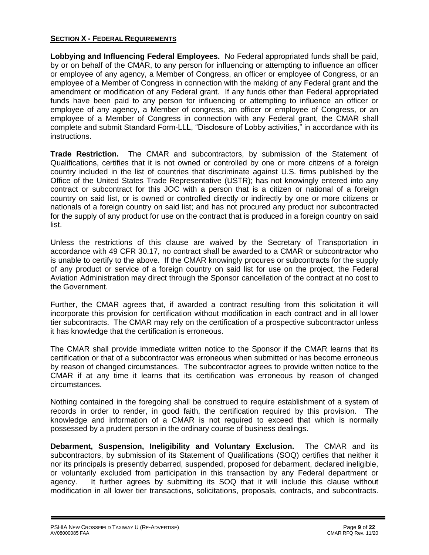## **SECTION X - FEDERAL REQUIREMENTS**

**Lobbying and Influencing Federal Employees.** No Federal appropriated funds shall be paid, by or on behalf of the CMAR, to any person for influencing or attempting to influence an officer or employee of any agency, a Member of Congress, an officer or employee of Congress, or an employee of a Member of Congress in connection with the making of any Federal grant and the amendment or modification of any Federal grant. If any funds other than Federal appropriated funds have been paid to any person for influencing or attempting to influence an officer or employee of any agency, a Member of congress, an officer or employee of Congress, or an employee of a Member of Congress in connection with any Federal grant, the CMAR shall complete and submit Standard Form-LLL, "Disclosure of Lobby activities," in accordance with its instructions.

**Trade Restriction.** The CMAR and subcontractors, by submission of the Statement of Qualifications, certifies that it is not owned or controlled by one or more citizens of a foreign country included in the list of countries that discriminate against U.S. firms published by the Office of the United States Trade Representative (USTR); has not knowingly entered into any contract or subcontract for this JOC with a person that is a citizen or national of a foreign country on said list, or is owned or controlled directly or indirectly by one or more citizens or nationals of a foreign country on said list; and has not procured any product nor subcontracted for the supply of any product for use on the contract that is produced in a foreign country on said list.

Unless the restrictions of this clause are waived by the Secretary of Transportation in accordance with 49 CFR 30.17, no contract shall be awarded to a CMAR or subcontractor who is unable to certify to the above. If the CMAR knowingly procures or subcontracts for the supply of any product or service of a foreign country on said list for use on the project, the Federal Aviation Administration may direct through the Sponsor cancellation of the contract at no cost to the Government.

Further, the CMAR agrees that, if awarded a contract resulting from this solicitation it will incorporate this provision for certification without modification in each contract and in all lower tier subcontracts. The CMAR may rely on the certification of a prospective subcontractor unless it has knowledge that the certification is erroneous.

The CMAR shall provide immediate written notice to the Sponsor if the CMAR learns that its certification or that of a subcontractor was erroneous when submitted or has become erroneous by reason of changed circumstances. The subcontractor agrees to provide written notice to the CMAR if at any time it learns that its certification was erroneous by reason of changed circumstances.

Nothing contained in the foregoing shall be construed to require establishment of a system of records in order to render, in good faith, the certification required by this provision. The knowledge and information of a CMAR is not required to exceed that which is normally possessed by a prudent person in the ordinary course of business dealings.

**Debarment, Suspension, Ineligibility and Voluntary Exclusion.** The CMAR and its subcontractors, by submission of its Statement of Qualifications (SOQ) certifies that neither it nor its principals is presently debarred, suspended, proposed for debarment, declared ineligible, or voluntarily excluded from participation in this transaction by any Federal department or agency. It further agrees by submitting its SOQ that it will include this clause without modification in all lower tier transactions, solicitations, proposals, contracts, and subcontracts.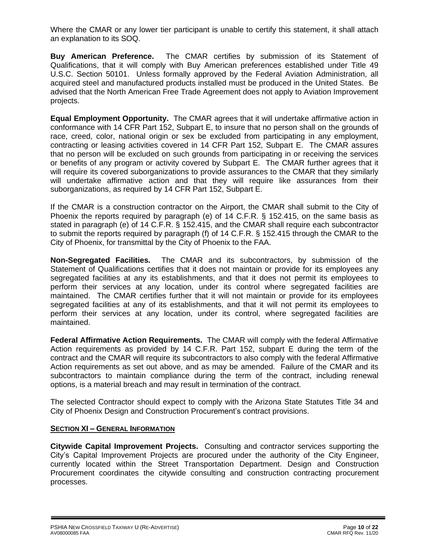Where the CMAR or any lower tier participant is unable to certify this statement, it shall attach an explanation to its SOQ.

**Buy American Preference.** The CMAR certifies by submission of its Statement of Qualifications, that it will comply with Buy American preferences established under Title 49 U.S.C. Section 50101. Unless formally approved by the Federal Aviation Administration, all acquired steel and manufactured products installed must be produced in the United States. Be advised that the North American Free Trade Agreement does not apply to Aviation Improvement projects.

**Equal Employment Opportunity.** The CMAR agrees that it will undertake affirmative action in conformance with 14 CFR Part 152, Subpart E, to insure that no person shall on the grounds of race, creed, color, national origin or sex be excluded from participating in any employment, contracting or leasing activities covered in 14 CFR Part 152, Subpart E. The CMAR assures that no person will be excluded on such grounds from participating in or receiving the services or benefits of any program or activity covered by Subpart E. The CMAR further agrees that it will require its covered suborganizations to provide assurances to the CMAR that they similarly will undertake affirmative action and that they will require like assurances from their suborganizations, as required by 14 CFR Part 152, Subpart E.

If the CMAR is a construction contractor on the Airport, the CMAR shall submit to the City of Phoenix the reports required by paragraph (e) of 14 C.F.R. § 152.415, on the same basis as stated in paragraph (e) of 14 C.F.R. § 152.415, and the CMAR shall require each subcontractor to submit the reports required by paragraph (f) of 14 C.F.R. § 152.415 through the CMAR to the City of Phoenix, for transmittal by the City of Phoenix to the FAA.

**Non-Segregated Facilities.** The CMAR and its subcontractors, by submission of the Statement of Qualifications certifies that it does not maintain or provide for its employees any segregated facilities at any its establishments, and that it does not permit its employees to perform their services at any location, under its control where segregated facilities are maintained. The CMAR certifies further that it will not maintain or provide for its employees segregated facilities at any of its establishments, and that it will not permit its employees to perform their services at any location, under its control, where segregated facilities are maintained.

**Federal Affirmative Action Requirements.** The CMAR will comply with the federal Affirmative Action requirements as provided by 14 C.F.R. Part 152, subpart E during the term of the contract and the CMAR will require its subcontractors to also comply with the federal Affirmative Action requirements as set out above, and as may be amended. Failure of the CMAR and its subcontractors to maintain compliance during the term of the contract, including renewal options, is a material breach and may result in termination of the contract.

The selected Contractor should expect to comply with the Arizona State Statutes Title 34 and City of Phoenix Design and Construction Procurement's contract provisions.

## **SECTION XI – GENERAL INFORMATION**

**Citywide Capital Improvement Projects.** Consulting and contractor services supporting the City's Capital Improvement Projects are procured under the authority of the City Engineer, currently located within the Street Transportation Department. Design and Construction Procurement coordinates the citywide consulting and construction contracting procurement processes.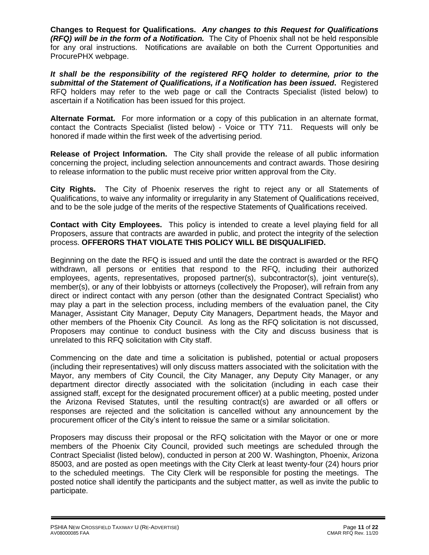**Changes to Request for Qualifications.** *Any changes to this Request for Qualifications (RFQ) will be in the form of a Notification.* The City of Phoenix shall not be held responsible for any oral instructions. Notifications are available on both the Current Opportunities and ProcurePHX webpage.

*It shall be the responsibility of the registered RFQ holder to determine, prior to the submittal of the Statement of Qualifications, if a Notification has been issued***.** Registered RFQ holders may refer to the web page or call the Contracts Specialist (listed below) to ascertain if a Notification has been issued for this project.

**Alternate Format.** For more information or a copy of this publication in an alternate format, contact the Contracts Specialist (listed below) - Voice or TTY 711. Requests will only be honored if made within the first week of the advertising period.

**Release of Project Information.** The City shall provide the release of all public information concerning the project, including selection announcements and contract awards. Those desiring to release information to the public must receive prior written approval from the City.

**City Rights.** The City of Phoenix reserves the right to reject any or all Statements of Qualifications, to waive any informality or irregularity in any Statement of Qualifications received, and to be the sole judge of the merits of the respective Statements of Qualifications received.

**Contact with City Employees.** This policy is intended to create a level playing field for all Proposers, assure that contracts are awarded in public, and protect the integrity of the selection process. **OFFERORS THAT VIOLATE THIS POLICY WILL BE DISQUALIFIED.**

Beginning on the date the RFQ is issued and until the date the contract is awarded or the RFQ withdrawn, all persons or entities that respond to the RFQ, including their authorized employees, agents, representatives, proposed partner(s), subcontractor(s), joint venture(s), member(s), or any of their lobbyists or attorneys (collectively the Proposer), will refrain from any direct or indirect contact with any person (other than the designated Contract Specialist) who may play a part in the selection process, including members of the evaluation panel, the City Manager, Assistant City Manager, Deputy City Managers, Department heads, the Mayor and other members of the Phoenix City Council. As long as the RFQ solicitation is not discussed, Proposers may continue to conduct business with the City and discuss business that is unrelated to this RFQ solicitation with City staff.

Commencing on the date and time a solicitation is published, potential or actual proposers (including their representatives) will only discuss matters associated with the solicitation with the Mayor, any members of City Council, the City Manager, any Deputy City Manager, or any department director directly associated with the solicitation (including in each case their assigned staff, except for the designated procurement officer) at a public meeting, posted under the Arizona Revised Statutes, until the resulting contract(s) are awarded or all offers or responses are rejected and the solicitation is cancelled without any announcement by the procurement officer of the City's intent to reissue the same or a similar solicitation.

Proposers may discuss their proposal or the RFQ solicitation with the Mayor or one or more members of the Phoenix City Council, provided such meetings are scheduled through the Contract Specialist (listed below), conducted in person at 200 W. Washington, Phoenix, Arizona 85003, and are posted as open meetings with the City Clerk at least twenty-four (24) hours prior to the scheduled meetings. The City Clerk will be responsible for posting the meetings. The posted notice shall identify the participants and the subject matter, as well as invite the public to participate.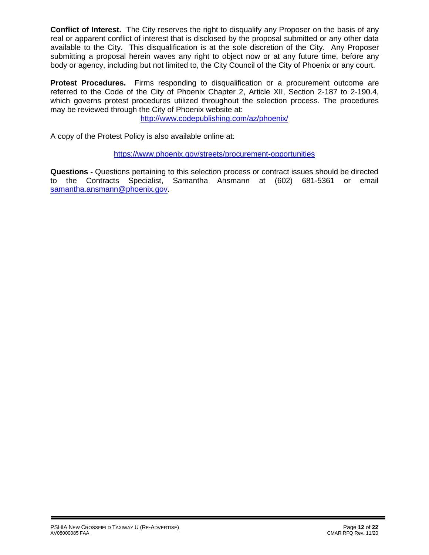**Conflict of Interest.** The City reserves the right to disqualify any Proposer on the basis of any real or apparent conflict of interest that is disclosed by the proposal submitted or any other data available to the City. This disqualification is at the sole discretion of the City. Any Proposer submitting a proposal herein waves any right to object now or at any future time, before any body or agency, including but not limited to, the City Council of the City of Phoenix or any court.

**Protest Procedures.** Firms responding to disqualification or a procurement outcome are referred to the Code of the City of Phoenix Chapter 2, Article XII, Section 2-187 to 2-190.4, which governs protest procedures utilized throughout the selection process. The procedures may be reviewed through the City of Phoenix website at:

<http://www.codepublishing.com/az/phoenix/>

A copy of the Protest Policy is also available online at:

<https://www.phoenix.gov/streets/procurement-opportunities>

**Questions -** Questions pertaining to this selection process or contract issues should be directed to the Contracts Specialist, Samantha Ansmann at (602) 681-5361 or email [samantha.ansmann@phoenix.gov.](mailto:samantha.ansmann@phoenix.gov)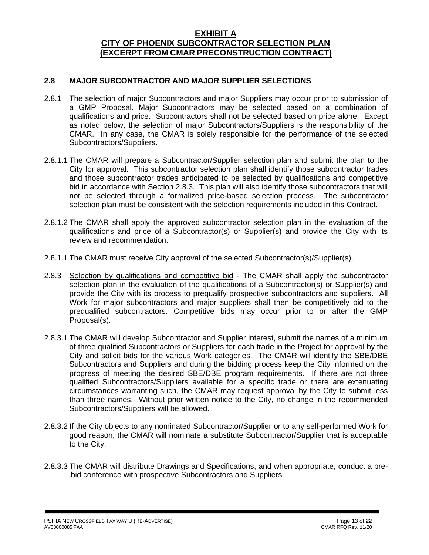## **EXHIBIT A CITY OF PHOENIX SUBCONTRACTOR SELECTION PLAN (EXCERPT FROM CMAR PRECONSTRUCTION CONTRACT)**

## **2.8 MAJOR SUBCONTRACTOR AND MAJOR SUPPLIER SELECTIONS**

- 2.8.1 The selection of major Subcontractors and major Suppliers may occur prior to submission of a GMP Proposal. Major Subcontractors may be selected based on a combination of qualifications and price. Subcontractors shall not be selected based on price alone. Except as noted below, the selection of major Subcontractors/Suppliers is the responsibility of the CMAR. In any case, the CMAR is solely responsible for the performance of the selected Subcontractors/Suppliers.
- 2.8.1.1 The CMAR will prepare a Subcontractor/Supplier selection plan and submit the plan to the City for approval. This subcontractor selection plan shall identify those subcontractor trades and those subcontractor trades anticipated to be selected by qualifications and competitive bid in accordance with Section 2.8.3. This plan will also identify those subcontractors that will not be selected through a formalized price-based selection process. The subcontractor selection plan must be consistent with the selection requirements included in this Contract.
- 2.8.1.2 The CMAR shall apply the approved subcontractor selection plan in the evaluation of the qualifications and price of a Subcontractor(s) or Supplier(s) and provide the City with its review and recommendation.
- 2.8.1.1 The CMAR must receive City approval of the selected Subcontractor(s)/Supplier(s).
- 2.8.3 Selection by qualifications and competitive bid The CMAR shall apply the subcontractor selection plan in the evaluation of the qualifications of a Subcontractor(s) or Supplier(s) and provide the City with its process to prequalify prospective subcontractors and suppliers. All Work for major subcontractors and major suppliers shall then be competitively bid to the prequalified subcontractors. Competitive bids may occur prior to or after the GMP Proposal(s).
- 2.8.3.1 The CMAR will develop Subcontractor and Supplier interest, submit the names of a minimum of three qualified Subcontractors or Suppliers for each trade in the Project for approval by the City and solicit bids for the various Work categories. The CMAR will identify the SBE/DBE Subcontractors and Suppliers and during the bidding process keep the City informed on the progress of meeting the desired SBE/DBE program requirements. If there are not three qualified Subcontractors/Suppliers available for a specific trade or there are extenuating circumstances warranting such, the CMAR may request approval by the City to submit less than three names. Without prior written notice to the City, no change in the recommended Subcontractors/Suppliers will be allowed.
- 2.8.3.2 If the City objects to any nominated Subcontractor/Supplier or to any self-performed Work for good reason, the CMAR will nominate a substitute Subcontractor/Supplier that is acceptable to the City.
- 2.8.3.3 The CMAR will distribute Drawings and Specifications, and when appropriate, conduct a prebid conference with prospective Subcontractors and Suppliers.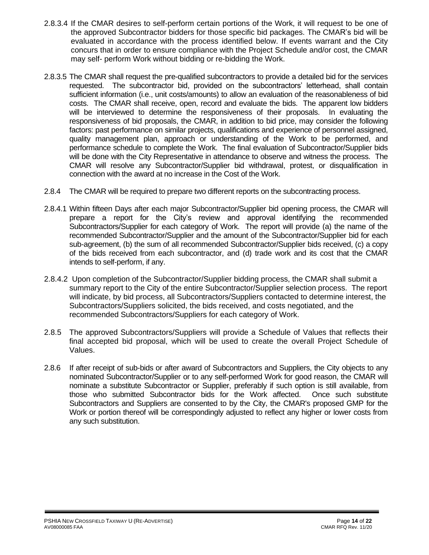- 2.8.3.4 If the CMAR desires to self-perform certain portions of the Work, it will request to be one of the approved Subcontractor bidders for those specific bid packages. The CMAR's bid will be evaluated in accordance with the process identified below. If events warrant and the City concurs that in order to ensure compliance with the Project Schedule and/or cost, the CMAR may self- perform Work without bidding or re-bidding the Work.
- 2.8.3.5 The CMAR shall request the pre-qualified subcontractors to provide a detailed bid for the services requested. The subcontractor bid, provided on the subcontractors' letterhead, shall contain sufficient information (i.e., unit costs/amounts) to allow an evaluation of the reasonableness of bid costs. The CMAR shall receive, open, record and evaluate the bids. The apparent low bidders will be interviewed to determine the responsiveness of their proposals. In evaluating the responsiveness of bid proposals, the CMAR, in addition to bid price, may consider the following factors: past performance on similar projects, qualifications and experience of personnel assigned, quality management plan, approach or understanding of the Work to be performed, and performance schedule to complete the Work. The final evaluation of Subcontractor/Supplier bids will be done with the City Representative in attendance to observe and witness the process. The CMAR will resolve any Subcontractor/Supplier bid withdrawal, protest, or disqualification in connection with the award at no increase in the Cost of the Work.
- 2.8.4 The CMAR will be required to prepare two different reports on the subcontracting process.
- 2.8.4.1 Within fifteen Days after each major Subcontractor/Supplier bid opening process, the CMAR will prepare a report for the City's review and approval identifying the recommended Subcontractors/Supplier for each category of Work. The report will provide (a) the name of the recommended Subcontractor/Supplier and the amount of the Subcontractor/Supplier bid for each sub-agreement, (b) the sum of all recommended Subcontractor/Supplier bids received, (c) a copy of the bids received from each subcontractor, and (d) trade work and its cost that the CMAR intends to self-perform, if any.
- 2.8.4.2 Upon completion of the Subcontractor/Supplier bidding process, the CMAR shall submit a summary report to the City of the entire Subcontractor/Supplier selection process. The report will indicate, by bid process, all Subcontractors/Suppliers contacted to determine interest, the Subcontractors/Suppliers solicited, the bids received, and costs negotiated, and the recommended Subcontractors/Suppliers for each category of Work.
- 2.8.5 The approved Subcontractors/Suppliers will provide a Schedule of Values that reflects their final accepted bid proposal, which will be used to create the overall Project Schedule of Values.
- 2.8.6 If after receipt of sub-bids or after award of Subcontractors and Suppliers, the City objects to any nominated Subcontractor/Supplier or to any self-performed Work for good reason, the CMAR will nominate a substitute Subcontractor or Supplier, preferably if such option is still available, from those who submitted Subcontractor bids for the Work affected. Once such substitute Subcontractors and Suppliers are consented to by the City, the CMAR's proposed GMP for the Work or portion thereof will be correspondingly adjusted to reflect any higher or lower costs from any such substitution.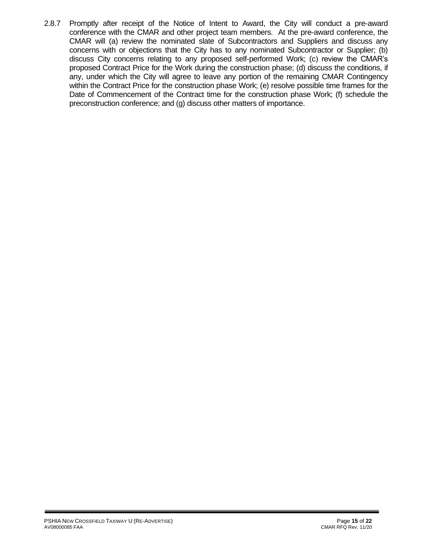2.8.7 Promptly after receipt of the Notice of Intent to Award, the City will conduct a pre-award conference with the CMAR and other project team members. At the pre-award conference, the CMAR will (a) review the nominated slate of Subcontractors and Suppliers and discuss any concerns with or objections that the City has to any nominated Subcontractor or Supplier; (b) discuss City concerns relating to any proposed self-performed Work; (c) review the CMAR's proposed Contract Price for the Work during the construction phase; (d) discuss the conditions, if any, under which the City will agree to leave any portion of the remaining CMAR Contingency within the Contract Price for the construction phase Work; (e) resolve possible time frames for the Date of Commencement of the Contract time for the construction phase Work; (f) schedule the preconstruction conference; and (g) discuss other matters of importance.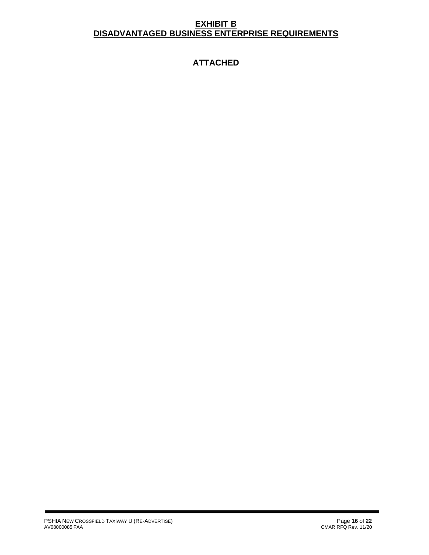## **EXHIBIT B DISADVANTAGED BUSINESS ENTERPRISE REQUIREMENTS**

# **ATTACHED**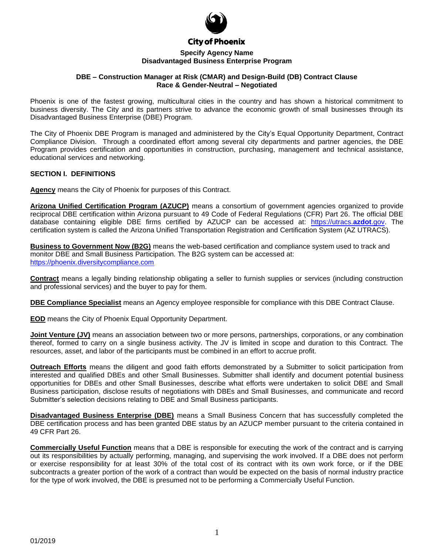

**City of Phoenix** 

#### **Specify Agency Name Disadvantaged Business Enterprise Program**

#### **DBE – Construction Manager at Risk (CMAR) and Design-Build (DB) Contract Clause Race & Gender-Neutral – Negotiated**

Phoenix is one of the fastest growing, multicultural cities in the country and has shown a historical commitment to business diversity. The City and its partners strive to advance the economic growth of small businesses through its Disadvantaged Business Enterprise (DBE) Program.

The City of Phoenix DBE Program is managed and administered by the City's Equal Opportunity Department, Contract Compliance Division. Through a coordinated effort among several city departments and partner agencies, the DBE Program provides certification and opportunities in construction, purchasing, management and technical assistance, educational services and networking.

#### **SECTION I. DEFINITIONS**

**Agency** means the City of Phoenix for purposes of this Contract.

**Arizona Unified Certification Program (AZUCP)** means a consortium of government agencies organized to provide reciprocal DBE certification within Arizona pursuant to 49 Code of Federal Regulations (CFR) Part 26. The official DBE database containing eligible DBE firms certified by AZUCP can be accessed at: [https://utracs.](https://utracs.azdot.gov/)**azdot**.gov. The certification system is called the Arizona Unified Transportation Registration and Certification System (AZ UTRACS).

**Business to Government Now (B2G)** means the web-based certification and compliance system used to track and monitor DBE and Small Business Participation. The B2G system can be accessed at: [https://phoenix.diversitycompliance.com](https://phoenix.diversitycompliance.com/)

**Contract** means a legally binding relationship obligating a seller to furnish supplies or services (including construction and professional services) and the buyer to pay for them.

**DBE Compliance Specialist** means an Agency employee responsible for compliance with this DBE Contract Clause.

**EOD** means the City of Phoenix Equal Opportunity Department.

**Joint Venture (JV)** means an association between two or more persons, partnerships, corporations, or any combination thereof, formed to carry on a single business activity. The JV is limited in scope and duration to this Contract. The resources, asset, and labor of the participants must be combined in an effort to accrue profit.

**Outreach Efforts** means the diligent and good faith efforts demonstrated by a Submitter to solicit participation from interested and qualified DBEs and other Small Businesses. Submitter shall identify and document potential business opportunities for DBEs and other Small Businesses, describe what efforts were undertaken to solicit DBE and Small Business participation, disclose results of negotiations with DBEs and Small Businesses, and communicate and record Submitter's selection decisions relating to DBE and Small Business participants.

**Disadvantaged Business Enterprise (DBE)** means a Small Business Concern that has successfully completed the DBE certification process and has been granted DBE status by an AZUCP member pursuant to the criteria contained in 49 CFR Part 26.

**Commercially Useful Function** means that a DBE is responsible for executing the work of the contract and is carrying out its responsibilities by actually performing, managing, and supervising the work involved. If a DBE does not perform or exercise responsibility for at least 30% of the total cost of its contract with its own work force, or if the DBE subcontracts a greater portion of the work of a contract than would be expected on the basis of normal industry practice for the type of work involved, the DBE is presumed not to be performing a Commercially Useful Function.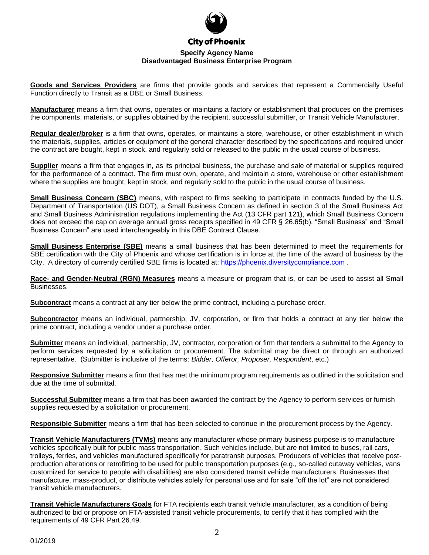

**Goods and Services Providers** are firms that provide goods and services that represent a Commercially Useful

Function directly to Transit as a DBE or Small Business.

**Manufacturer** means a firm that owns, operates or maintains a factory or establishment that produces on the premises the components, materials, or supplies obtained by the recipient, successful submitter, or Transit Vehicle Manufacturer.

**Regular dealer/broker** is a firm that owns, operates, or maintains a store, warehouse, or other establishment in which the materials, supplies, articles or equipment of the general character described by the specifications and required under the contract are bought, kept in stock, and regularly sold or released to the public in the usual course of business.

**Supplier** means a firm that engages in, as its principal business, the purchase and sale of material or supplies required for the performance of a contract. The firm must own, operate, and maintain a store, warehouse or other establishment where the supplies are bought, kept in stock, and regularly sold to the public in the usual course of business.

**Small Business Concern (SBC)** means, with respect to firms seeking to participate in contracts funded by the U.S. Department of Transportation (US DOT), a Small Business Concern as defined in section 3 of the Small Business Act and Small Business Administration regulations implementing the Act (13 CFR part 121), which Small Business Concern does not exceed the cap on average annual gross receipts specified in 49 CFR § 26.65(b). "Small Business" and "Small Business Concern" are used interchangeably in this DBE Contract Clause.

**Small Business Enterprise (SBE)** means a small business that has been determined to meet the requirements for SBE certification with the City of Phoenix and whose certification is in force at the time of the award of business by the City. A directory of currently certified SBE firms is located at: [https://phoenix.diversitycompliance.com](https://phoenix.diversitycompliance.com/) .

**Race- and Gender-Neutral (RGN) Measures** means a measure or program that is, or can be used to assist all Small Businesses.

**Subcontract** means a contract at any tier below the prime contract, including a purchase order.

**Subcontractor** means an individual, partnership, JV, corporation, or firm that holds a contract at any tier below the prime contract, including a vendor under a purchase order.

**Submitter** means an individual, partnership, JV, contractor, corporation or firm that tenders a submittal to the Agency to perform services requested by a solicitation or procurement. The submittal may be direct or through an authorized representative. (Submitter is inclusive of the terms: *Bidder, Offeror, Proposer, Respondent*, etc.)

**Responsive Submitter** means a firm that has met the minimum program requirements as outlined in the solicitation and due at the time of submittal.

**Successful Submitter** means a firm that has been awarded the contract by the Agency to perform services or furnish supplies requested by a solicitation or procurement.

**Responsible Submitter** means a firm that has been selected to continue in the procurement process by the Agency.

**Transit Vehicle Manufacturers (TVMs)** means any manufacturer whose primary business purpose is to manufacture vehicles specifically built for public mass transportation. Such vehicles include, but are not limited to buses, rail cars, trolleys, ferries, and vehicles manufactured specifically for paratransit purposes. Producers of vehicles that receive postproduction alterations or retrofitting to be used for public transportation purposes (e.g., so-called cutaway vehicles, vans customized for service to people with disabilities) are also considered transit vehicle manufacturers. Businesses that manufacture, mass-product, or distribute vehicles solely for personal use and for sale "off the lot" are not considered transit vehicle manufacturers.

**Transit Vehicle Manufacturers Goals** for FTA recipients each transit vehicle manufacturer, as a condition of being authorized to bid or propose on FTA-assisted transit vehicle procurements, to certify that it has complied with the requirements of 49 CFR Part 26.49.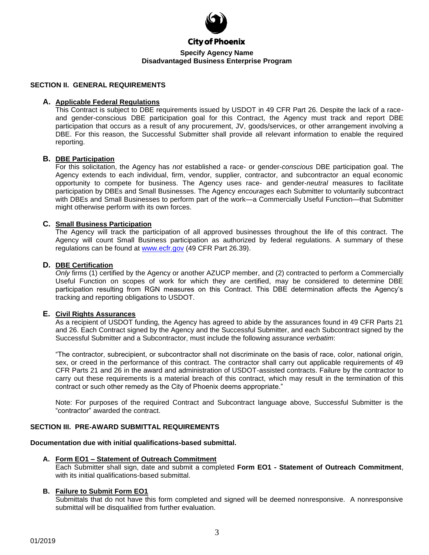

#### **City of Phoenix**

#### **Specify Agency Name Disadvantaged Business Enterprise Program**

#### **SECTION II. GENERAL REQUIREMENTS**

#### **A. Applicable Federal Regulations**

This Contract is subject to DBE requirements issued by USDOT in 49 CFR Part 26. Despite the lack of a raceand gender-conscious DBE participation goal for this Contract, the Agency must track and report DBE participation that occurs as a result of any procurement, JV, goods/services, or other arrangement involving a DBE. For this reason, the Successful Submitter shall provide all relevant information to enable the required reporting.

#### **B. DBE Participation**

For this solicitation, the Agency has *not* established a race- or gender-*conscious* DBE participation goal. The Agency extends to each individual, firm, vendor, supplier, contractor, and subcontractor an equal economic opportunity to compete for business. The Agency uses race- and gender-*neutral* measures to facilitate participation by DBEs and Small Businesses. The Agency *encourages* each Submitter to voluntarily subcontract with DBEs and Small Businesses to perform part of the work—a Commercially Useful Function—that Submitter might otherwise perform with its own forces.

#### **C. Small Business Participation**

The Agency will track the participation of all approved businesses throughout the life of this contract. The Agency will count Small Business participation as authorized by federal regulations. A summary of these regulations can be found at [www.ecfr.gov](http://www.ecfr.gov/) (49 CFR Part 26.39).

#### **D. DBE Certification**

*Only* firms (1) certified by the Agency or another AZUCP member, and (2) contracted to perform a Commercially Useful Function on scopes of work for which they are certified, may be considered to determine DBE participation resulting from RGN measures on this Contract. This DBE determination affects the Agency's tracking and reporting obligations to USDOT.

#### **E. Civil Rights Assurances**

As a recipient of USDOT funding, the Agency has agreed to abide by the assurances found in 49 CFR Parts 21 and 26. Each Contract signed by the Agency and the Successful Submitter, and each Subcontract signed by the Successful Submitter and a Subcontractor, must include the following assurance *verbatim*:

"The contractor, subrecipient, or subcontractor shall not discriminate on the basis of race, color, national origin, sex, or creed in the performance of this contract. The contractor shall carry out applicable requirements of 49 CFR Parts 21 and 26 in the award and administration of USDOT-assisted contracts. Failure by the contractor to carry out these requirements is a material breach of this contract, which may result in the termination of this contract or such other remedy as the City of Phoenix deems appropriate."

Note: For purposes of the required Contract and Subcontract language above, Successful Submitter is the "contractor" awarded the contract.

#### **SECTION III. PRE-AWARD SUBMITTAL REQUIREMENTS**

#### **Documentation due with initial qualifications-based submittal.**

#### **A. Form EO1 – Statement of Outreach Commitment**

Each Submitter shall sign, date and submit a completed **Form EO1 - Statement of Outreach Commitment**, with its initial qualifications-based submittal.

#### **B. Failure to Submit Form EO1**

Submittals that do not have this form completed and signed will be deemed nonresponsive. A nonresponsive submittal will be disqualified from further evaluation.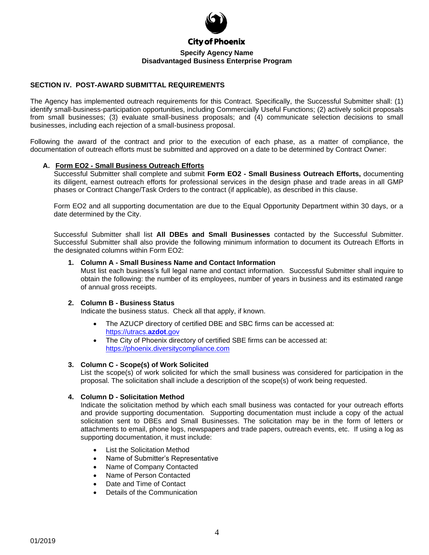

#### **SECTION IV. POST-AWARD SUBMITTAL REQUIREMENTS**

The Agency has implemented outreach requirements for this Contract. Specifically, the Successful Submitter shall: (1) identify small-business-participation opportunities, including Commercially Useful Functions; (2) actively solicit proposals from small businesses; (3) evaluate small-business proposals; and (4) communicate selection decisions to small businesses, including each rejection of a small-business proposal.

Following the award of the contract and prior to the execution of each phase, as a matter of compliance, the documentation of outreach efforts must be submitted and approved on a date to be determined by Contract Owner:

#### **A. Form EO2 - Small Business Outreach Efforts**

Successful Submitter shall complete and submit **Form EO2 - Small Business Outreach Efforts,** documenting its diligent, earnest outreach efforts for professional services in the design phase and trade areas in all GMP phases or Contract Change/Task Orders to the contract (if applicable), as described in this clause.

Form EO2 and all supporting documentation are due to the Equal Opportunity Department within 30 days, or a date determined by the City.

Successful Submitter shall list **All DBEs and Small Businesses** contacted by the Successful Submitter. Successful Submitter shall also provide the following minimum information to document its Outreach Efforts in the designated columns within Form EO2:

#### **1. Column A - Small Business Name and Contact Information**

Must list each business's full legal name and contact information. Successful Submitter shall inquire to obtain the following: the number of its employees, number of years in business and its estimated range of annual gross receipts.

#### **2. Column B - Business Status**

Indicate the business status. Check all that apply, if known.

- The AZUCP directory of certified DBE and SBC firms can be accessed at: [https://utracs.](https://utracs.azdot.gov/)**azdot**.gov
- The City of Phoenix directory of certified SBE firms can be accessed at: [https://phoenix.diversitycompliance.com](https://phoenix.diversitycompliance.com/)

#### **3. Column C - Scope(s) of Work Solicited**

List the scope(s) of work solicited for which the small business was considered for participation in the proposal. The solicitation shall include a description of the scope(s) of work being requested.

#### **4. Column D - Solicitation Method**

Indicate the solicitation method by which each small business was contacted for your outreach efforts and provide supporting documentation. Supporting documentation must include a copy of the actual solicitation sent to DBEs and Small Businesses. The solicitation may be in the form of letters or attachments to email, phone logs, newspapers and trade papers, outreach events, etc. If using a log as supporting documentation, it must include:

- List the Solicitation Method
- Name of Submitter's Representative
- Name of Company Contacted
- Name of Person Contacted
- Date and Time of Contact
- Details of the Communication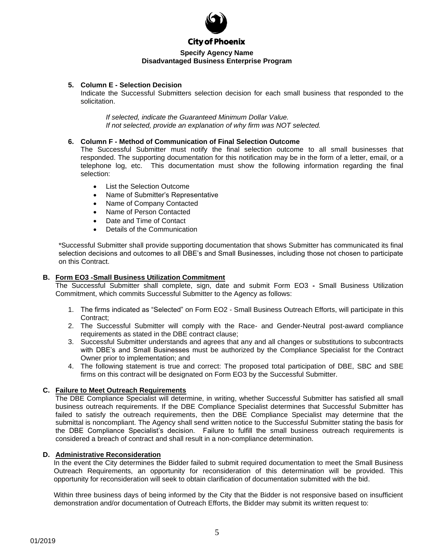

#### **City of Phoenix**

#### **Specify Agency Name Disadvantaged Business Enterprise Program**

#### **5. Column E - Selection Decision**

Indicate the Successful Submitters selection decision for each small business that responded to the solicitation.

*If selected, indicate the Guaranteed Minimum Dollar Value. If not selected, provide an explanation of why firm was NOT selected.*

#### **6. Column F - Method of Communication of Final Selection Outcome**

The Successful Submitter must notify the final selection outcome to all small businesses that responded. The supporting documentation for this notification may be in the form of a letter, email, or a telephone log, etc. This documentation must show the following information regarding the final selection:

- List the Selection Outcome
- Name of Submitter's Representative
- Name of Company Contacted
- Name of Person Contacted
- Date and Time of Contact
- Details of the Communication

\*Successful Submitter shall provide supporting documentation that shows Submitter has communicated its final selection decisions and outcomes to all DBE's and Small Businesses, including those not chosen to participate on this Contract.

#### **B. Form EO3 -Small Business Utilization Commitment**

The Successful Submitter shall complete, sign, date and submit Form EO3 **-** Small Business Utilization Commitment, which commits Successful Submitter to the Agency as follows:

- 1. The firms indicated as "Selected" on Form EO2 Small Business Outreach Efforts, will participate in this Contract:
- 2. The Successful Submitter will comply with the Race- and Gender-Neutral post-award compliance requirements as stated in the DBE contract clause;
- 3. Successful Submitter understands and agrees that any and all changes or substitutions to subcontracts with DBE's and Small Businesses must be authorized by the Compliance Specialist for the Contract Owner prior to implementation; and
- 4. The following statement is true and correct: The proposed total participation of DBE, SBC and SBE firms on this contract will be designated on Form EO3 by the Successful Submitter.

#### **C. Failure to Meet Outreach Requirements**

The DBE Compliance Specialist will determine, in writing, whether Successful Submitter has satisfied all small business outreach requirements. If the DBE Compliance Specialist determines that Successful Submitter has failed to satisfy the outreach requirements, then the DBE Compliance Specialist may determine that the submittal is noncompliant. The Agency shall send written notice to the Successful Submitter stating the basis for the DBE Compliance Specialist's decision. Failure to fulfill the small business outreach requirements is considered a breach of contract and shall result in a non-compliance determination.

#### **D. Administrative Reconsideration**

In the event the City determines the Bidder failed to submit required documentation to meet the Small Business Outreach Requirements, an opportunity for reconsideration of this determination will be provided. This opportunity for reconsideration will seek to obtain clarification of documentation submitted with the bid.

Within three business days of being informed by the City that the Bidder is not responsive based on insufficient demonstration and/or documentation of Outreach Efforts, the Bidder may submit its written request to: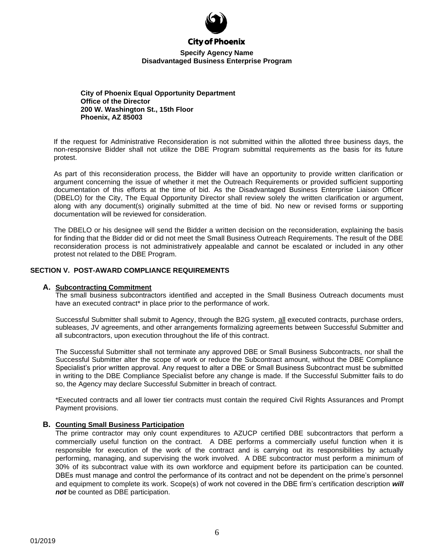

#### **City of Phoenix**

#### **Specify Agency Name Disadvantaged Business Enterprise Program**

**City of Phoenix Equal Opportunity Department Office of the Director 200 W. Washington St., 15th Floor Phoenix, AZ 85003**

If the request for Administrative Reconsideration is not submitted within the allotted three business days, the non-responsive Bidder shall not utilize the DBE Program submittal requirements as the basis for its future protest.

As part of this reconsideration process, the Bidder will have an opportunity to provide written clarification or argument concerning the issue of whether it met the Outreach Requirements or provided sufficient supporting documentation of this efforts at the time of bid. As the Disadvantaged Business Enterprise Liaison Officer (DBELO) for the City, The Equal Opportunity Director shall review solely the written clarification or argument, along with any document(s) originally submitted at the time of bid. No new or revised forms or supporting documentation will be reviewed for consideration.

The DBELO or his designee will send the Bidder a written decision on the reconsideration, explaining the basis for finding that the Bidder did or did not meet the Small Business Outreach Requirements. The result of the DBE reconsideration process is not administratively appealable and cannot be escalated or included in any other protest not related to the DBE Program.

#### **SECTION V. POST-AWARD COMPLIANCE REQUIREMENTS**

#### **A. Subcontracting Commitment**

The small business subcontractors identified and accepted in the Small Business Outreach documents must have an executed contract<sup>\*</sup> in place prior to the performance of work.

Successful Submitter shall submit to Agency, through the B2G system, all executed contracts, purchase orders, subleases, JV agreements, and other arrangements formalizing agreements between Successful Submitter and all subcontractors, upon execution throughout the life of this contract.

The Successful Submitter shall not terminate any approved DBE or Small Business Subcontracts, nor shall the Successful Submitter alter the scope of work or reduce the Subcontract amount, without the DBE Compliance Specialist's prior written approval. Any request to alter a DBE or Small Business Subcontract must be submitted in writing to the DBE Compliance Specialist before any change is made. If the Successful Submitter fails to do so, the Agency may declare Successful Submitter in breach of contract.

\*Executed contracts and all lower tier contracts must contain the required Civil Rights Assurances and Prompt Payment provisions.

#### **B. Counting Small Business Participation**

The prime contractor may only count expenditures to AZUCP certified DBE subcontractors that perform a commercially useful function on the contract. A DBE performs a commercially useful function when it is responsible for execution of the work of the contract and is carrying out its responsibilities by actually performing, managing, and supervising the work involved. A DBE subcontractor must perform a minimum of 30% of its subcontract value with its own workforce and equipment before its participation can be counted. DBEs must manage and control the performance of its contract and not be dependent on the prime's personnel and equipment to complete its work. Scope(s) of work not covered in the DBE firm's certification description *will not* be counted as DBE participation.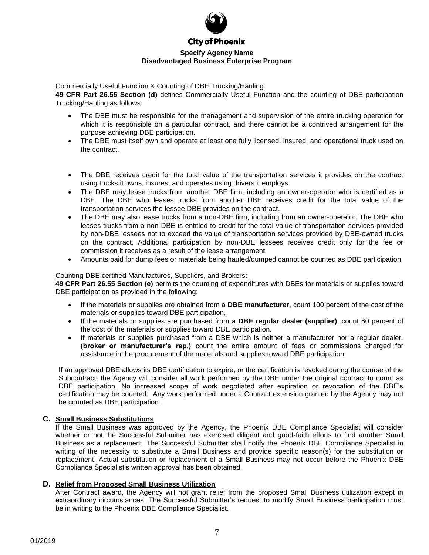

Commercially Useful Function & Counting of DBE Trucking/Hauling:

**49 CFR Part 26.55 Section (d)** defines Commercially Useful Function and the counting of DBE participation Trucking/Hauling as follows:

- The DBE must be responsible for the management and supervision of the entire trucking operation for which it is responsible on a particular contract, and there cannot be a contrived arrangement for the purpose achieving DBE participation.
- The DBE must itself own and operate at least one fully licensed, insured, and operational truck used on the contract.
- The DBE receives credit for the total value of the transportation services it provides on the contract using trucks it owns, insures, and operates using drivers it employs.
- The DBE may lease trucks from another DBE firm, including an owner-operator who is certified as a DBE. The DBE who leases trucks from another DBE receives credit for the total value of the transportation services the lessee DBE provides on the contract.
- The DBE may also lease trucks from a non-DBE firm, including from an owner-operator. The DBE who leases trucks from a non-DBE is entitled to credit for the total value of transportation services provided by non-DBE lessees not to exceed the value of transportation services provided by DBE-owned trucks on the contract. Additional participation by non-DBE lessees receives credit only for the fee or commission it receives as a result of the lease arrangement.
- Amounts paid for dump fees or materials being hauled/dumped cannot be counted as DBE participation.

#### Counting DBE certified Manufactures, Suppliers, and Brokers:

**49 CFR Part 26.55 Section (e)** permits the counting of expenditures with DBEs for materials or supplies toward DBE participation as provided in the following:

- If the materials or supplies are obtained from a **DBE manufacturer**, count 100 percent of the cost of the materials or supplies toward DBE participation,
- If the materials or supplies are purchased from a **DBE regular dealer (supplier)**, count 60 percent of the cost of the materials or supplies toward DBE participation.
- If materials or supplies purchased from a DBE which is neither a manufacturer nor a regular dealer, **(broker or manufacturer's rep.)** count the entire amount of fees or commissions charged for assistance in the procurement of the materials and supplies toward DBE participation.

If an approved DBE allows its DBE certification to expire, or the certification is revoked during the course of the Subcontract, the Agency will consider all work performed by the DBE under the original contract to count as DBE participation. No increased scope of work negotiated after expiration or revocation of the DBE's certification may be counted. Any work performed under a Contract extension granted by the Agency may not be counted as DBE participation.

#### **C. Small Business Substitutions**

If the Small Business was approved by the Agency, the Phoenix DBE Compliance Specialist will consider whether or not the Successful Submitter has exercised diligent and good-faith efforts to find another Small Business as a replacement. The Successful Submitter shall notify the Phoenix DBE Compliance Specialist in writing of the necessity to substitute a Small Business and provide specific reason(s) for the substitution or replacement. Actual substitution or replacement of a Small Business may not occur before the Phoenix DBE Compliance Specialist's written approval has been obtained.

#### **D. Relief from Proposed Small Business Utilization**

After Contract award, the Agency will not grant relief from the proposed Small Business utilization except in extraordinary circumstances. The Successful Submitter's request to modify Small Business participation must be in writing to the Phoenix DBE Compliance Specialist.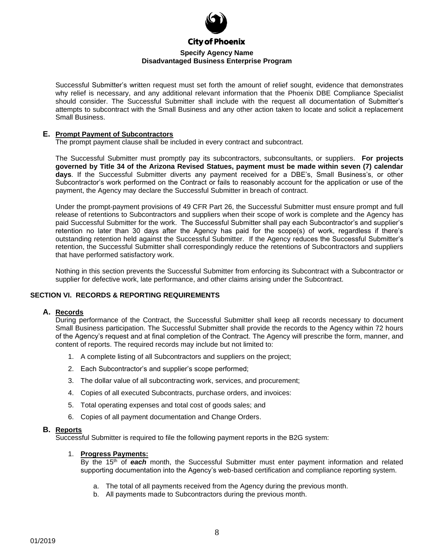

Successful Submitter's written request must set forth the amount of relief sought, evidence that demonstrates why relief is necessary, and any additional relevant information that the Phoenix DBE Compliance Specialist should consider. The Successful Submitter shall include with the request all documentation of Submitter's attempts to subcontract with the Small Business and any other action taken to locate and solicit a replacement Small Business.

#### **E. Prompt Payment of Subcontractors**

The prompt payment clause shall be included in every contract and subcontract.

The Successful Submitter must promptly pay its subcontractors, subconsultants, or suppliers. **For projects governed by Title 34 of the Arizona Revised Statues, payment must be made within seven (7) calendar days**. If the Successful Submitter diverts any payment received for a DBE's, Small Business's, or other Subcontractor's work performed on the Contract or fails to reasonably account for the application or use of the payment, the Agency may declare the Successful Submitter in breach of contract.

Under the prompt-payment provisions of 49 CFR Part 26, the Successful Submitter must ensure prompt and full release of retentions to Subcontractors and suppliers when their scope of work is complete and the Agency has paid Successful Submitter for the work. The Successful Submitter shall pay each Subcontractor's and supplier's retention no later than 30 days after the Agency has paid for the scope(s) of work, regardless if there's outstanding retention held against the Successful Submitter. If the Agency reduces the Successful Submitter's retention, the Successful Submitter shall correspondingly reduce the retentions of Subcontractors and suppliers that have performed satisfactory work.

Nothing in this section prevents the Successful Submitter from enforcing its Subcontract with a Subcontractor or supplier for defective work, late performance, and other claims arising under the Subcontract.

#### **SECTION VI. RECORDS & REPORTING REQUIREMENTS**

#### **A. Records**

During performance of the Contract, the Successful Submitter shall keep all records necessary to document Small Business participation. The Successful Submitter shall provide the records to the Agency within 72 hours of the Agency's request and at final completion of the Contract. The Agency will prescribe the form, manner, and content of reports. The required records may include but not limited to:

- 1. A complete listing of all Subcontractors and suppliers on the project;
- 2. Each Subcontractor's and supplier's scope performed;
- 3. The dollar value of all subcontracting work, services, and procurement;
- 4. Copies of all executed Subcontracts, purchase orders, and invoices:
- 5. Total operating expenses and total cost of goods sales; and
- 6. Copies of all payment documentation and Change Orders.

#### **B. Reports**

Successful Submitter is required to file the following payment reports in the B2G system:

#### 1. **Progress Payments:**

By the 15<sup>th</sup> of **each** month, the Successful Submitter must enter payment information and related supporting documentation into the Agency's web-based certification and compliance reporting system.

- a. The total of all payments received from the Agency during the previous month.
- b. All payments made to Subcontractors during the previous month.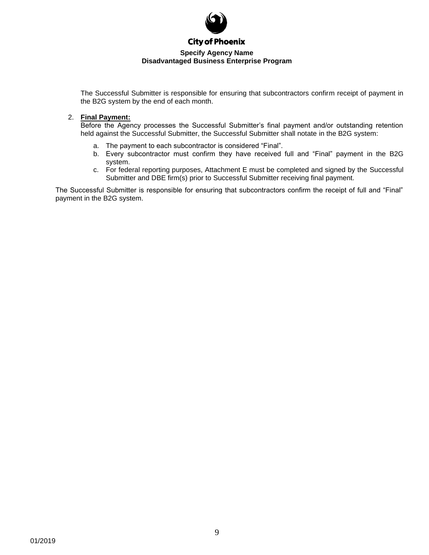

The Successful Submitter is responsible for ensuring that subcontractors confirm receipt of payment in the B2G system by the end of each month.

#### 2. **Final Payment:**

Before the Agency processes the Successful Submitter's final payment and/or outstanding retention held against the Successful Submitter, the Successful Submitter shall notate in the B2G system:

- a. The payment to each subcontractor is considered "Final".
- b. Every subcontractor must confirm they have received full and "Final" payment in the B2G system.
- c. For federal reporting purposes, Attachment E must be completed and signed by the Successful Submitter and DBE firm(s) prior to Successful Submitter receiving final payment.

The Successful Submitter is responsible for ensuring that subcontractors confirm the receipt of full and "Final" payment in the B2G system.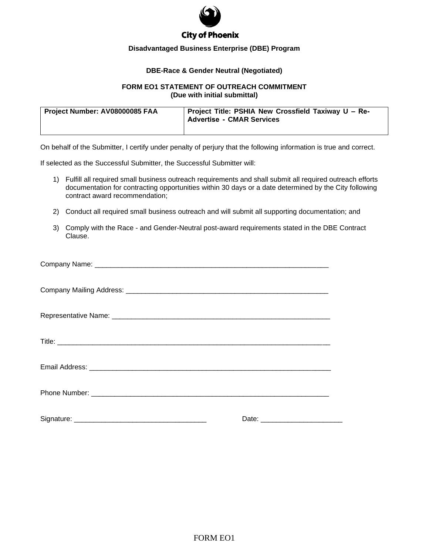

## **City of Phoenix**

#### **Disadvantaged Business Enterprise (DBE) Program**

#### **DBE-Race & Gender Neutral (Negotiated)**

#### **FORM EO1 STATEMENT OF OUTREACH COMMITMENT (Due with initial submittal)**

| Project Number: AV08000085 FAA | Project Title: PSHIA New Crossfield Taxiway U - Re-<br><b>Advertise - CMAR Services</b> |
|--------------------------------|-----------------------------------------------------------------------------------------|
|                                |                                                                                         |

On behalf of the Submitter, I certify under penalty of perjury that the following information is true and correct.

If selected as the Successful Submitter, the Successful Submitter will:

- 1) Fulfill all required small business outreach requirements and shall submit all required outreach efforts documentation for contracting opportunities within 30 days or a date determined by the City following contract award recommendation;
- 2) Conduct all required small business outreach and will submit all supporting documentation; and
- 3) Comply with the Race and Gender-Neutral post-award requirements stated in the DBE Contract Clause.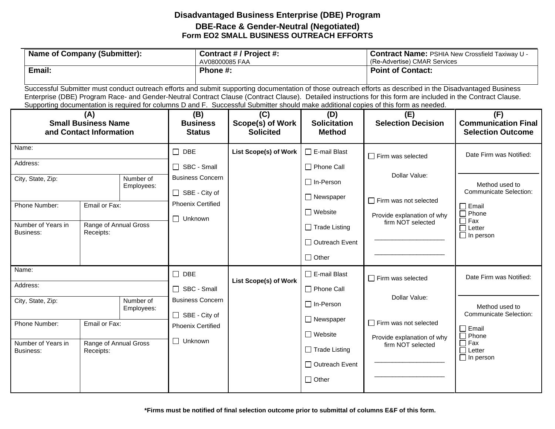## **Disadvantaged Business Enterprise (DBE) Program DBE-Race & Gender-Neutral (Negotiated) Form EO2 SMALL BUSINESS OUTREACH EFFORTS**

| <b>Name of Company (Submitter):</b>                          |                                    |                                          | AV08000085 FAA                                  | Contract # / Project #:                     |                                                                            | Contract Name: PSHIA New Crossfield Taxiway U -<br>(Re-Advertise) CMAR Services                                                                                                                                                                                                                                                                                                                                                                                      |                                                                                    |               |                                                 |
|--------------------------------------------------------------|------------------------------------|------------------------------------------|-------------------------------------------------|---------------------------------------------|----------------------------------------------------------------------------|----------------------------------------------------------------------------------------------------------------------------------------------------------------------------------------------------------------------------------------------------------------------------------------------------------------------------------------------------------------------------------------------------------------------------------------------------------------------|------------------------------------------------------------------------------------|---------------|-------------------------------------------------|
| Email:<br>Phone #:                                           |                                    |                                          |                                                 |                                             |                                                                            | <b>Point of Contact:</b>                                                                                                                                                                                                                                                                                                                                                                                                                                             |                                                                                    |               |                                                 |
|                                                              |                                    |                                          |                                                 |                                             |                                                                            | Successful Submitter must conduct outreach efforts and submit supporting documentation of those outreach efforts as described in the Disadvantaged Business<br>Enterprise (DBE) Program Race- and Gender-Neutral Contract Clause (Contract Clause). Detailed instructions for this form are included in the Contract Clause.<br>Supporting documentation is required for columns D and F. Successful Submitter should make additional copies of this form as needed. |                                                                                    |               |                                                 |
| (A)<br><b>Small Business Name</b><br>and Contact Information |                                    |                                          | (B)<br><b>Business</b><br><b>Status</b>         | (C)<br>Scope(s) of Work<br><b>Solicited</b> | (D)<br><b>Solicitation</b><br><b>Method</b>                                | (E)<br><b>Selection Decision</b>                                                                                                                                                                                                                                                                                                                                                                                                                                     | (F)<br><b>Communication Final</b><br><b>Selection Outcome</b>                      |               |                                                 |
| Name:                                                        |                                    |                                          | $\Box$ DBE                                      | <b>List Scope(s) of Work</b>                | $\Box$ E-mail Blast                                                        | $\Box$ Firm was selected                                                                                                                                                                                                                                                                                                                                                                                                                                             | Date Firm was Notified:                                                            |               |                                                 |
| Address:                                                     |                                    |                                          | SBC - Small                                     |                                             | □ Phone Call                                                               |                                                                                                                                                                                                                                                                                                                                                                                                                                                                      |                                                                                    |               |                                                 |
| City, State, Zip:                                            |                                    | Number of<br>Employees:                  | <b>Business Concern</b><br>$\Box$ SBE - City of |                                             |                                                                            |                                                                                                                                                                                                                                                                                                                                                                                                                                                                      | $\Box$ In-Person<br>$\Box$ Newspaper                                               | Dollar Value: | Method used to<br><b>Communicate Selection:</b> |
| Phone Number:                                                | Email or Fax:                      |                                          | <b>Phoenix Certified</b><br>$\Box$ Unknown      |                                             | $\Box$ Website                                                             | $\Box$ Firm was not selected<br>Provide explanation of why                                                                                                                                                                                                                                                                                                                                                                                                           | $\square$ Email<br>$\Box$ Phone<br>$\Box$ Fax<br>$\Box$ Letter<br>$\Box$ In person |               |                                                 |
| Number of Years in<br>Business:                              | Range of Annual Gross<br>Receipts: |                                          |                                                 |                                             | $\Box$ Trade Listing<br>□ Outreach Event<br>$\Box$ Other                   | firm NOT selected                                                                                                                                                                                                                                                                                                                                                                                                                                                    |                                                                                    |               |                                                 |
| Name:                                                        |                                    |                                          | $\square$ DBE                                   | <b>List Scope(s) of Work</b>                | $\Box$ E-mail Blast                                                        | $\Box$ Firm was selected                                                                                                                                                                                                                                                                                                                                                                                                                                             | Date Firm was Notified:                                                            |               |                                                 |
| Address:                                                     |                                    | SBC - Small                              |                                                 | □ Phone Call                                | Dollar Value:                                                              |                                                                                                                                                                                                                                                                                                                                                                                                                                                                      |                                                                                    |               |                                                 |
| Number of<br>City, State, Zip:<br>Employees:                 |                                    | <b>Business Concern</b><br>SBE - City of |                                                 | $\Box$ In-Person                            |                                                                            | Method used to<br><b>Communicate Selection:</b>                                                                                                                                                                                                                                                                                                                                                                                                                      |                                                                                    |               |                                                 |
| Phone Number:                                                | Email or Fax:                      |                                          | <b>Phoenix Certified</b><br>$\Box$ Unknown      |                                             | $\Box$ Newspaper                                                           | $\Box$ Firm was not selected                                                                                                                                                                                                                                                                                                                                                                                                                                         | $\Box$ Email                                                                       |               |                                                 |
| Number of Years in<br>Business:                              | Range of Annual Gross<br>Receipts: |                                          |                                                 |                                             | $\Box$ Website<br>$\Box$ Trade Listing<br>□ Outreach Event<br>$\Box$ Other | Provide explanation of why<br>firm NOT selected                                                                                                                                                                                                                                                                                                                                                                                                                      | $\Box$ Phone<br>$\Box$ Fax<br>$\Box$ Letter<br>$\Box$ In person                    |               |                                                 |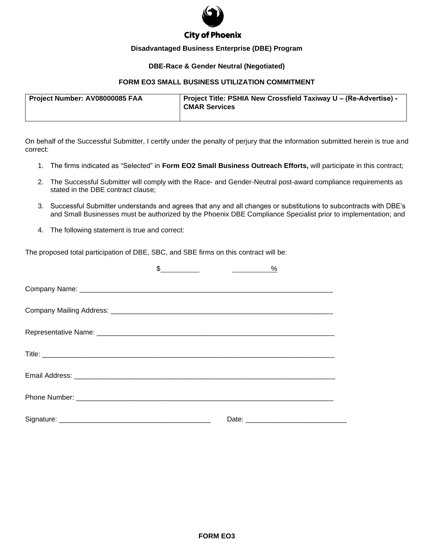

## **City of Phoenix**

#### **Disadvantaged Business Enterprise (DBE) Program**

#### **DBE-Race & Gender Neutral (Negotiated)**

### **FORM EO3 SMALL BUSINESS UTILIZATION COMMITMENT**

| Project Number: AV08000085 FAA | Project Title: PSHIA New Crossfield Taxiway U - (Re-Advertise) -<br><b>CMAR Services</b> |
|--------------------------------|------------------------------------------------------------------------------------------|
|--------------------------------|------------------------------------------------------------------------------------------|

On behalf of the Successful Submitter, I certify under the penalty of perjury that the information submitted herein is true and correct:

- 1. The firms indicated as "Selected" in **Form EO2 Small Business Outreach Efforts,** will participate in this contract;
- 2. The Successful Submitter will comply with the Race- and Gender-Neutral post-award compliance requirements as stated in the DBE contract clause;
- 3. Successful Submitter understands and agrees that any and all changes or substitutions to subcontracts with DBE's and Small Businesses must be authorized by the Phoenix DBE Compliance Specialist prior to implementation; and
- 4. The following statement is true and correct:

The proposed total participation of DBE, SBC, and SBE firms on this contract will be:

| $\frac{\frac{6}{2}}{\frac{6}{2}}$ |                                                                                                                                                                                                                                |
|-----------------------------------|--------------------------------------------------------------------------------------------------------------------------------------------------------------------------------------------------------------------------------|
|                                   |                                                                                                                                                                                                                                |
|                                   |                                                                                                                                                                                                                                |
|                                   |                                                                                                                                                                                                                                |
|                                   |                                                                                                                                                                                                                                |
|                                   |                                                                                                                                                                                                                                |
|                                   |                                                                                                                                                                                                                                |
|                                   | Date: the contract of the contract of the contract of the contract of the contract of the contract of the contract of the contract of the contract of the contract of the contract of the contract of the contract of the cont |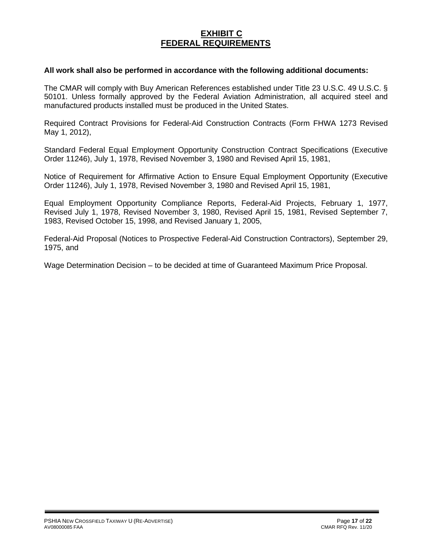## **EXHIBIT C FEDERAL REQUIREMENTS**

### **All work shall also be performed in accordance with the following additional documents:**

The CMAR will comply with Buy American References established under Title 23 U.S.C. 49 U.S.C. § 50101. Unless formally approved by the Federal Aviation Administration, all acquired steel and manufactured products installed must be produced in the United States.

Required Contract Provisions for Federal-Aid Construction Contracts (Form FHWA 1273 Revised May 1, 2012),

Standard Federal Equal Employment Opportunity Construction Contract Specifications (Executive Order 11246), July 1, 1978, Revised November 3, 1980 and Revised April 15, 1981,

Notice of Requirement for Affirmative Action to Ensure Equal Employment Opportunity (Executive Order 11246), July 1, 1978, Revised November 3, 1980 and Revised April 15, 1981,

Equal Employment Opportunity Compliance Reports, Federal-Aid Projects, February 1, 1977, Revised July 1, 1978, Revised November 3, 1980, Revised April 15, 1981, Revised September 7, 1983, Revised October 15, 1998, and Revised January 1, 2005,

Federal-Aid Proposal (Notices to Prospective Federal-Aid Construction Contractors), September 29, 1975, and

Wage Determination Decision – to be decided at time of Guaranteed Maximum Price Proposal.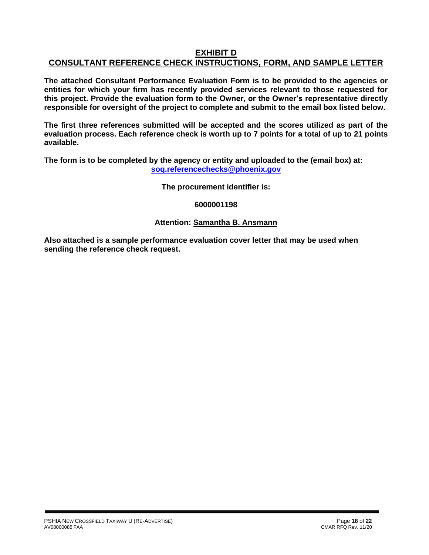## **EXHIBIT D CONSULTANT REFERENCE CHECK INSTRUCTIONS, FORM, AND SAMPLE LETTER**

**The attached Consultant Performance Evaluation Form is to be provided to the agencies or entities for which your firm has recently provided services relevant to those requested for this project. Provide the evaluation form to the Owner, or the Owner's representative directly responsible for oversight of the project to complete and submit to the email box listed below.**

**The first three references submitted will be accepted and the scores utilized as part of the evaluation process. Each reference check is worth up to 7 points for a total of up to 21 points available.**

**The form is to be completed by the agency or entity and uploaded to the (email box) at: [soq.referencechecks@phoenix.gov](mailto:soq.referencechecks@phoenix.gov)**

**The procurement identifier is:**

**6000001198**

## **Attention: Samantha B. Ansmann**

**Also attached is a sample performance evaluation cover letter that may be used when sending the reference check request.**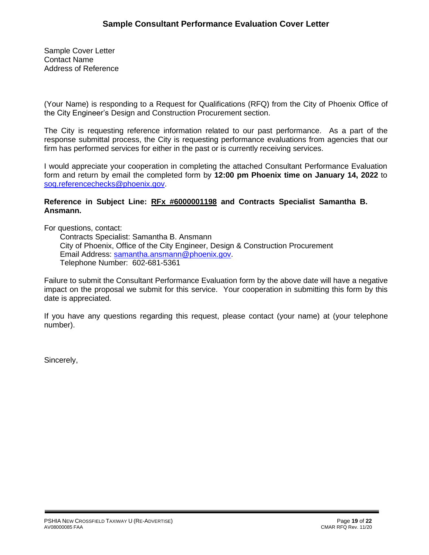Sample Cover Letter Contact Name Address of Reference

(Your Name) is responding to a Request for Qualifications (RFQ) from the City of Phoenix Office of the City Engineer's Design and Construction Procurement section.

The City is requesting reference information related to our past performance. As a part of the response submittal process, the City is requesting performance evaluations from agencies that our firm has performed services for either in the past or is currently receiving services.

I would appreciate your cooperation in completing the attached Consultant Performance Evaluation form and return by email the completed form by **12:00 pm Phoenix time on January 14, 2022** to [soq.referencechecks@phoenix.gov.](mailto:soq.referencechecks@phoenix.gov)

### **Reference in Subject Line: RFx #6000001198 and Contracts Specialist Samantha B. Ansmann.**

For questions, contact:

Contracts Specialist: Samantha B. Ansmann City of Phoenix, Office of the City Engineer, Design & Construction Procurement Email Address: [samantha.ansmann@phoenix.gov.](mailto:samantha.ansmann@phoenix.gov) Telephone Number: 602-681-5361

Failure to submit the Consultant Performance Evaluation form by the above date will have a negative impact on the proposal we submit for this service. Your cooperation in submitting this form by this date is appreciated.

If you have any questions regarding this request, please contact (your name) at (your telephone number).

Sincerely,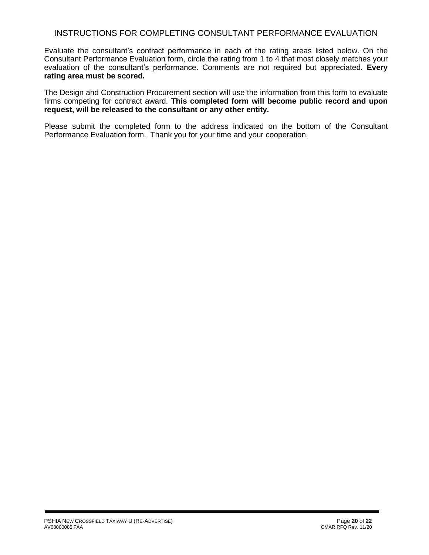## INSTRUCTIONS FOR COMPLETING CONSULTANT PERFORMANCE EVALUATION

Evaluate the consultant's contract performance in each of the rating areas listed below. On the Consultant Performance Evaluation form, circle the rating from 1 to 4 that most closely matches your evaluation of the consultant's performance. Comments are not required but appreciated. **Every rating area must be scored.** 

The Design and Construction Procurement section will use the information from this form to evaluate firms competing for contract award. **This completed form will become public record and upon request, will be released to the consultant or any other entity.**

Please submit the completed form to the address indicated on the bottom of the Consultant Performance Evaluation form. Thank you for your time and your cooperation.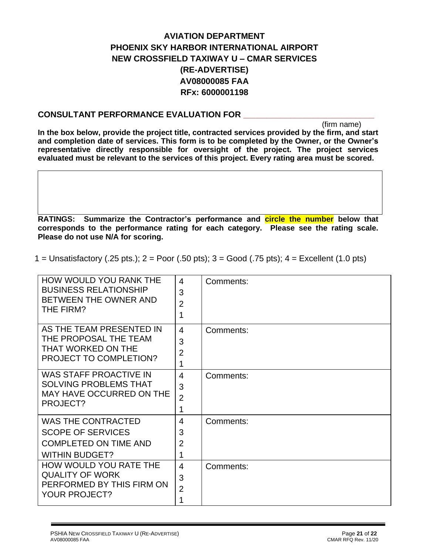# **AVIATION DEPARTMENT PHOENIX SKY HARBOR INTERNATIONAL AIRPORT NEW CROSSFIELD TAXIWAY U – CMAR SERVICES (RE-ADVERTISE) AV08000085 FAA RFx: 6000001198**

## **CONSULTANT PERFORMANCE EVALUATION FOR \_\_\_\_\_\_\_\_\_\_\_\_\_\_\_\_\_\_\_\_\_\_\_\_\_\_\_\_**

(firm name)

**In the box below, provide the project title, contracted services provided by the firm, and start and completion date of services. This form is to be completed by the Owner, or the Owner's representative directly responsible for oversight of the project. The project services evaluated must be relevant to the services of this project. Every rating area must be scored.** 

**RATINGS: Summarize the Contractor's performance and circle the number below that corresponds to the performance rating for each category. Please see the rating scale. Please do not use N/A for scoring.**

HOW WOULD YOU RANK THE BUSINESS RELATIONSHIP BETWEEN THE OWNER AND THE FIRM? 4 3 2 1 Comments: AS THE TEAM PRESENTED IN THE PROPOSAL THE TEAM THAT WORKED ON THE PROJECT TO COMPLETION? 4 3 2 1 Comments: WAS STAFF PROACTIVE IN SOLVING PROBLEMS THAT MAY HAVE OCCURRED ON THE PROJECT? 4 3 2 1 Comments: WAS THE CONTRACTED SCOPE OF SERVICES COMPLETED ON TIME AND WITHIN BUDGET? 4 3 2 1 Comments: HOW WOULD YOU RATE THE QUALITY OF WORK PERFORMED BY THIS FIRM ON YOUR PROJECT? 4 3 2 1 Comments:

1 = Unsatisfactory (.25 pts.); 2 = Poor (.50 pts); 3 = Good (.75 pts); 4 = Excellent (1.0 pts)